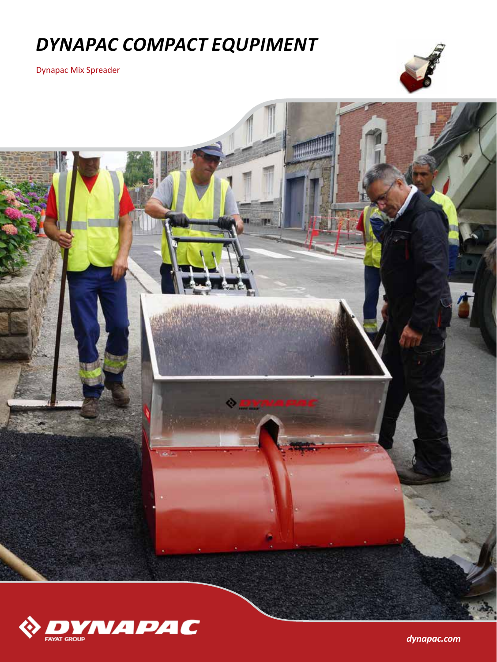# *DYNAPAC COMPACT EQUPIMENT*

Dynapac Mix Spreader







*dynapac.com*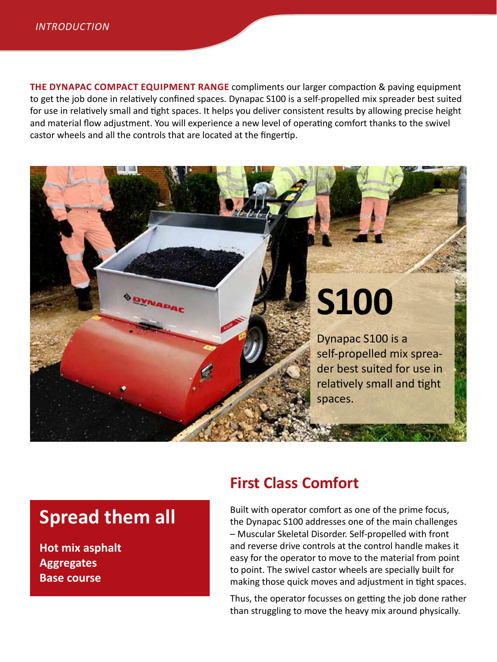**THE DYNAPAC COMPACT EQUIPMENT RANGE** compliments our larger compaction & paving equipment to get the job done in relatively confined spaces. Dynapac S100 is a self-propelled mix spreader best suited for use in relatively small and tight spaces. It helps you deliver consistent results by allowing precise height and material flow adjustment. You will experience a new level of operating comfort thanks to the swivel castor wheels and all the controls that are located at the fingertip.

# **S100 YNADA** Dynapac S100 is a self-propelled mix spreader best suited for use in relatively small and tight spaces.

## **Spread them all**

**Hot mix asphalt Aggregates Base course**

### **First Class Comfort**

Built with operator comfort as one of the prime focus, the Dynapac S100 addresses one of the main challenges – Muscular Skeletal Disorder. Self-propelled with front and reverse drive controls at the control handle makes it easy for the operator to move to the material from point to point. The swivel castor wheels are specially built for making those quick moves and adjustment in tight spaces.

Thus, the operator focusses on getting the job done rather than struggling to move the heavy mix around physically.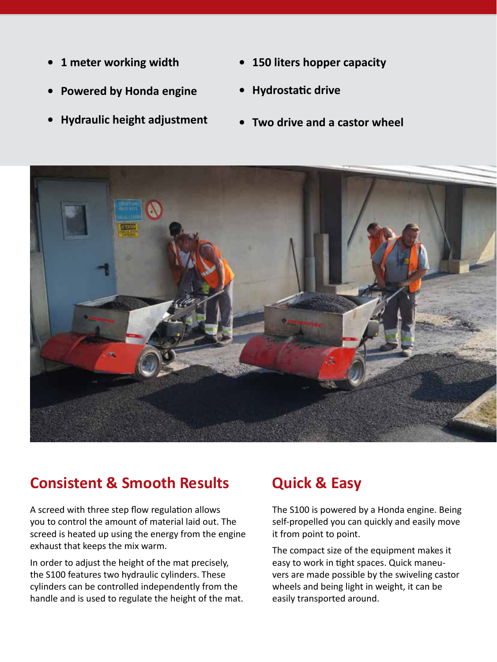- **• 1 meter working width**
- **• Powered by Honda engine**
- **• Hydraulic height adjustment**
- **• 150 liters hopper capacity**
- **• Hydrostatic drive**
- **• Two drive and a castor wheel**



#### **Consistent & Smooth Results Quick & Easy**

A screed with three step flow regulation allows you to control the amount of material laid out. The screed is heated up using the energy from the engine exhaust that keeps the mix warm.

In order to adjust the height of the mat precisely, the S100 features two hydraulic cylinders. These cylinders can be controlled independently from the handle and is used to regulate the height of the mat.

The S100 is powered by a Honda engine. Being self-propelled you can quickly and easily move it from point to point.

The compact size of the equipment makes it easy to work in tight spaces. Quick maneuvers are made possible by the swiveling castor wheels and being light in weight, it can be easily transported around.